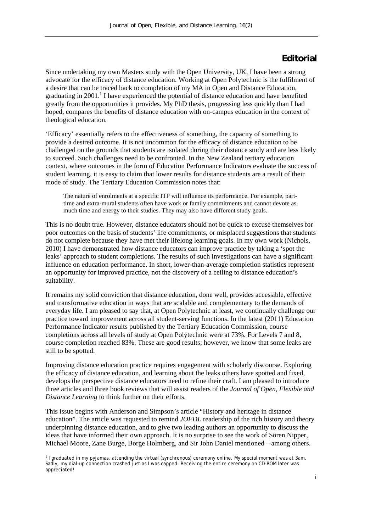## **Editorial**

Since undertaking my own Masters study with the Open University, UK, I have been a strong advocate for the efficacy of distance education. Working at Open Polytechnic is the fulfilment of a desire that can be traced back to completion of my MA in Open and Distance Education, graduating in 2001.<sup>1</sup> I have experienced the potential of distance education and have benefited greatly from the opportunities it provides. My PhD thesis, progressing less quickly than I had hoped, compares the benefits of distance education with on-campus education in the context of theological education.

'Efficacy' essentially refers to the effectiveness of something, the capacity of something to provide a desired outcome. It is not uncommon for the efficacy of distance education to be challenged on the grounds that students are isolated during their distance study and are less likely to succeed. Such challenges need to be confronted. In the New Zealand tertiary education context, where outcomes in the form of Education Performance Indicators evaluate the success of student learning, it is easy to claim that lower results for distance students are a result of their mode of study. The Tertiary Education Commission notes that:

The nature of enrolments at a specific ITP will influence its performance. For example, parttime and extra-mural students often have work or family commitments and cannot devote as much time and energy to their studies. They may also have different study goals.

This is no doubt true. However, distance educators should not be quick to excuse themselves for poor outcomes on the basis of students' life commitments, or misplaced suggestions that students do not complete because they have met their lifelong learning goals. In my own work (Nichols, 2010) I have demonstrated how distance educators can improve practice by taking a 'spot the leaks' approach to student completions. The results of such investigations can have a significant influence on education performance. In short, lower-than-average completion statistics represent an opportunity for improved practice, not the discovery of a ceiling to distance education's suitability.

It remains my solid conviction that distance education, done well, provides accessible, effective and transformative education in ways that are scalable and complementary to the demands of everyday life. I am pleased to say that, at Open Polytechnic at least, we continually challenge our practice toward improvement across all student-serving functions. In the latest (2011) Education Performance Indicator results published by the Tertiary Education Commission, course completions across all levels of study at Open Polytechnic were at 73%. For Levels 7 and 8, course completion reached 83%. These are good results; however, we know that some leaks are still to be spotted.

Improving distance education practice requires engagement with scholarly discourse. Exploring the efficacy of distance education, and learning about the leaks others have spotted and fixed, develops the perspective distance educators need to refine their craft. I am pleased to introduce three articles and three book reviews that will assist readers of the *Journal of Open, Flexible and Distance Learning* to think further on their efforts.

This issue begins with Anderson and Simpson's article "History and heritage in distance education". The article was requested to remind *JOFDL* readership of the rich history and theory underpinning distance education, and to give two leading authors an opportunity to discuss the ideas that have informed their own approach. It is no surprise to see the work of Sören Nipper, Michael Moore, Zane Burge, Borge Holmberg, and Sir John Daniel mentioned—among others.

<sup>1</sup> 1 I graduated in my pyjamas, attending the virtual (synchronous) ceremony online. My special moment was at 3am. Sadly, my dial-up connection crashed just as I was capped. Receiving the entire ceremony on CD-ROM later was appreciated!